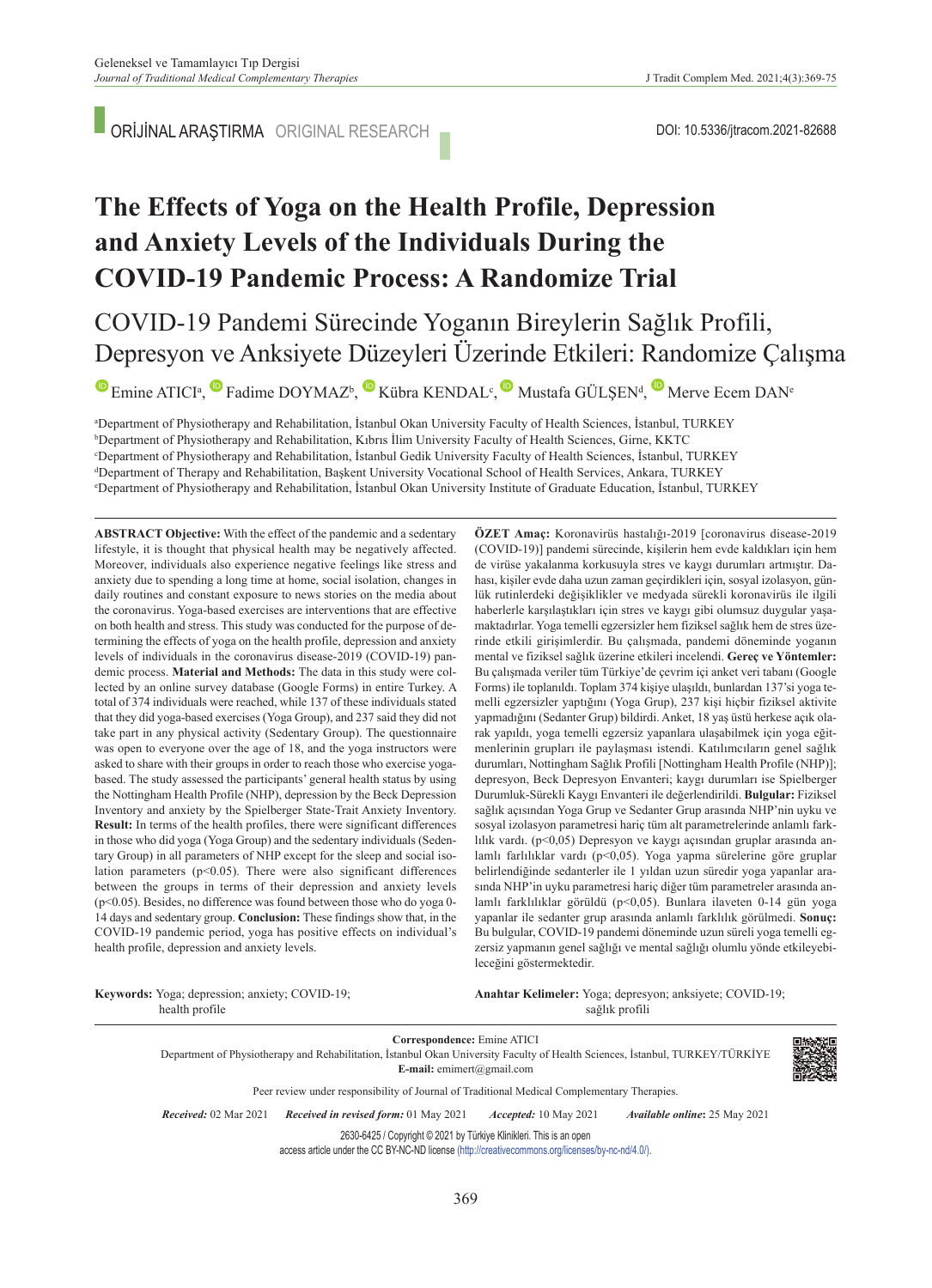ORİJİNAL ARAŞTIRMA ORIGINAL RESEARCH

# **The Effects of Yoga on the Health Profile, Depression and Anxiety Levels of the Individuals During the COVID-19 Pandemic Process: A Randomize Trial**

## COVID-19 Pandemi Sürecinde Yoganın Bireylerin Sağlık Profili, Depresyon ve Anksiyete Düzeyleri Üzerinde Etkileri: Randomize Çalışma

EmineATICI<sup>a</sup>[,](https://orcid.org/0000-0002-8826-8524) Fadime DOYMAZ<sup>b</sup>, Kübra KENDAL<sup>c</sup>, Mustafa GÜLŞEN<sup>d</sup>, Merve Ecem DAN<sup>e</sup>

**A** Department of Physiotherapy and Rehabilitation, İstanbul Okan University Faculty of Health Sciences, İstanbul, TURKEY<br><sup>b</sup>Department of Physiotherapy and Rehabilitation, Kıbrıs İlim University Faculty of Health Sciences <sup>b</sup>Department of Physiotherapy and Rehabilitation, Kıbrıs İlim University Faculty of Health Sciences, Girne, KKTC <sup>c</sup>Department of Physiotherapy and Rehabilitation, İstanbul Gedik University Faculty of Health Sciences, İstanbul, TURKEY dDepartment of Therapy and Rehabilitation, Başkent University Vocational School of Health Services, Ankara, TURKEY Department of Physiotherapy and Rehabilitation, İstanbul Okan University Institute of Graduate Education, İstanbul, TURKEY

**ABS TRACT Objective:** With the effect of the pandemic and a sedentary lifestyle, it is thought that physical health may be negatively affected. Moreover, individuals also experience negative feelings like stress and anxiety due to spending a long time at home, social isolation, changes in daily routines and constant exposure to news stories on the media about the coronavirus. Yoga-based exercises are interventions that are effective on both health and stress. This study was conducted for the purpose of determining the effects of yoga on the health profile, depression and anxiety levels of individuals in the coronavirus disease-2019 (COVID-19) pandemic process. **Material and Methods:** The data in this study were collected by an online survey database (Google Forms) in entire Turkey. A total of 374 individuals were reached, while 137 of these individuals stated that they did yoga-based exercises (Yoga Group), and 237 said they did not take part in any physical activity (Sedentary Group). The questionnaire was open to everyone over the age of 18, and the yoga instructors were asked to share with their groups in order to reach those who exercise yogabased. The study assessed the participants' general health status by using the Nottingham Health Profile (NHP), depression by the Beck Depression Inventory and anxiety by the Spielberger State-Trait Anxiety Inventory. **Result:** In terms of the health profiles, there were significant differences in those who did yoga (Yoga Group) and the sedentary individuals (Sedentary Group) in all parameters of NHP except for the sleep and social isolation parameters  $(p<0.05)$ . There were also significant differences between the groups in terms of their depression and anxiety levels  $(p<0.05)$ . Besides, no difference was found between those who do yoga 0-14 days and sedentary group. **Conclusion:** These findings show that, in the COVID-19 pandemic period, yoga has positive effects on individual's health profile, depression and anxiety levels.

**ÖZET Amaç:** Koronavirüs hastalığı-2019 [coronavirus disease-2019 (COVID-19)] pandemi sürecinde, kişilerin hem evde kaldıkları için hem de virüse yakalanma korkusuyla stres ve kaygı durumları artmıştır. Dahası, kişiler evde daha uzun zaman geçirdikleri için, sosyal izolasyon, günlük rutinlerdeki değişiklikler ve medyada sürekli koronavirüs ile ilgili haberlerle karşılaştıkları için stres ve kaygı gibi olumsuz duygular yaşamaktadırlar. Yoga temelli egzersizler hem fiziksel sağlık hem de stres üzerinde etkili girişimlerdir. Bu çalışmada, pandemi döneminde yoganın mental ve fiziksel sağlık üzerine etkileri incelendi. **Gereç ve Yöntemler:**  Bu çalışmada veriler tüm Türkiye'de çevrim içi anket veri tabanı (Google Forms) ile toplanıldı. Toplam 374 kişiye ulaşıldı, bunlardan 137'si yoga temelli egzersizler yaptığını (Yoga Grup), 237 kişi hiçbir fiziksel aktivite yapmadığını (Sedanter Grup) bildirdi. Anket, 18 yaş üstü herkese açık olarak yapıldı, yoga temelli egzersiz yapanlara ulaşabilmek için yoga eğitmenlerinin grupları ile paylaşması istendi. Katılımcıların genel sağlık durumları, Nottingham Sağlık Profili [Nottingham Health Profile (NHP)]; depresyon, Beck Depresyon Envanteri; kaygı durumları ise Spielberger Durumluk-Sürekli Kaygı Envanteri ile değerlendirildi. **Bulgular:** Fiziksel sağlık açısından Yoga Grup ve Sedanter Grup arasında NHP'nin uyku ve sosyal izolasyon parametresi hariç tüm alt parametrelerinde anlamlı farklılık vardı. (p<0,05) Depresyon ve kaygı açısından gruplar arasında anlamlı farlılıklar vardı (p<0,05). Yoga yapma sürelerine göre gruplar belirlendiğinde sedanterler ile 1 yıldan uzun süredir yoga yapanlar arasında NHP'in uyku parametresi hariç diğer tüm parametreler arasında anlamlı farklılıklar görüldü (p<0,05). Bunlara ilaveten 0-14 gün yoga yapanlar ile sedanter grup arasında anlamlı farklılık görülmedi. **Sonuç:**  Bu bulgular, COVID-19 pandemi döneminde uzun süreli yoga temelli egzersiz yapmanın genel sağlığı ve mental sağlığı olumlu yönde etkileyebileceğini göstermektedir.

**Keywords:** Yoga; depression; anxiety; COVID-19; health profile

Anahtar Kelimeler: Yoga; depresyon; anksiyete; COVID-19; sağlık profili

**Correspondence:** Emine ATICI Department of Physiotherapy and Rehabilitation, İstanbul Okan University Faculty of Health Sciences, İstanbul, TURKEY/TÜRKİYE **E-mail:** emimert@gmail.com



Peer review under responsibility of Journal of Traditional Medical Complementary Therapies.

*Re ce i ved:* 02 Mar 2021 *Received in revised form:* 01 May 2021 *Ac cep ted:* 10 May 2021 *Available online***:** 25 May 2021

2630-6425 / Copyright © 2021 by Türkiye Klinikleri. This is an open

access article under the CC BY-NC-ND license [\(http://creativecommons.org/licenses/by-nc-nd/4.0/\)](https://creativecommons.org/licenses/by-nc-nd/4.0/).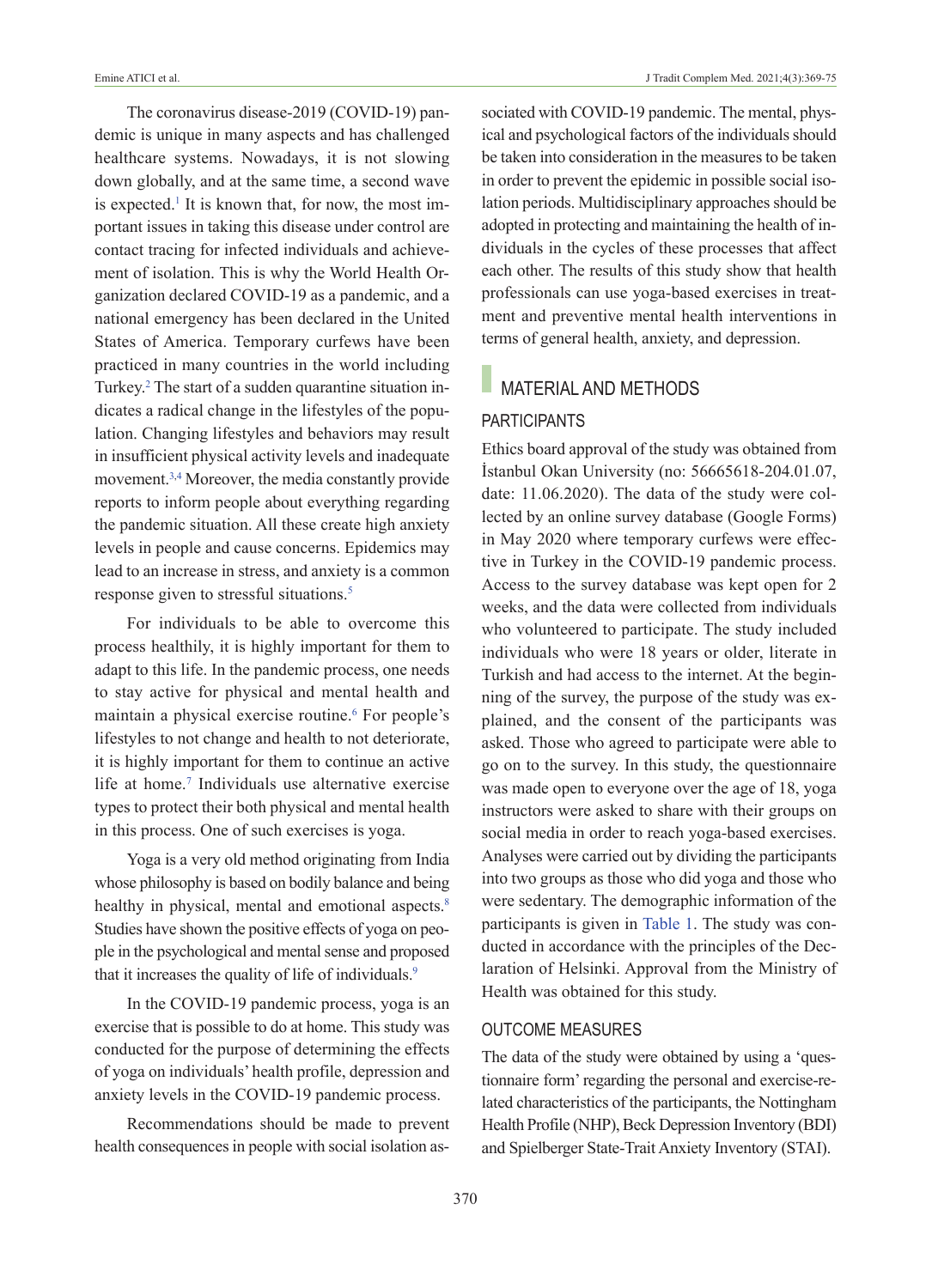The coronavirus disease-2019 (COVID-19) pandemic is unique in many aspects and has challenged healthcare systems. Nowadays, it is not slowing down globally, and at the same time, a second wave is expected.<sup>1</sup> It is known that, for now, the most important issues in taking this disease under control are contact tracing for infected individuals and achievement of isolation. This is why the World Health Organization declared COVID-19 as a pandemic, and a national emergency has been declared in the United States of America. Temporary curfews have been practiced in many countries in the world including Turkey[.2](#page-6-0) The start of a sudden quarantine situation indicates a radical change in the lifestyles of the population. Changing lifestyles and behaviors may result in insufficient physical activity levels and inadequate movement[.3,4](#page-6-0) Moreover, the media constantly provide reports to inform people about everything regarding the pandemic situation. All these create high anxiety levels in people and cause concerns. Epidemics may lead to an increase in stress, and anxiety is a common response given to stressful situations.<sup>5</sup>

For individuals to be able to overcome this process healthily, it is highly important for them to adapt to this life. In the pandemic process, one needs to stay active for physical and mental health and maintain a physical exercise routine.<sup>6</sup> For people's lifestyles to not change and health to not deteriorate, it is highly important for them to continue an active life at home.<sup>7</sup> Individuals use alternative exercise types to protect their both physical and mental health in this process. One of such exercises is yoga.

Yoga is a very old method originating from India whose philosophy is based on bodily balance and being healthy in physical, mental and emotional aspects.<sup>8</sup> Studies have shown the positive effects of yoga on people in the psychological and mental sense and proposed that it increases the quality of life of individuals.<sup>9</sup>

In the COVID-19 pandemic process, yoga is an exercise that is possible to do at home. This study was conducted for the purpose of determining the effects of yoga on individuals' health profile, depression and anxiety levels in the COVID-19 pandemic process.

Recommendations should be made to prevent health consequences in people with social isolation associated with COVID-19 pandemic. The mental, physical and psychological factors of the individuals should be taken into consideration in the measures to be taken in order to prevent the epidemic in possible social isolation periods. Multidisciplinary approaches should be adopted in protecting and maintaining the health of individuals in the cycles of these processes that affect each other. The results of this study show that health professionals can use yoga-based exercises in treatment and preventive mental health interventions in terms of general health, anxiety, and depression.

## **MATERIAL AND METHODS**

### PARTICIPANTS

Ethics board approval of the study was obtained from İstanbul Okan University (no: 56665618-204.01.07, date: 11.06.2020). The data of the study were collected by an online survey database (Google Forms) in May 2020 where temporary curfews were effective in Turkey in the COVID-19 pandemic process. Access to the survey database was kept open for 2 weeks, and the data were collected from individuals who volunteered to participate. The study included individuals who were 18 years or older, literate in Turkish and had access to the internet. At the beginning of the survey, the purpose of the study was explained, and the consent of the participants was asked. Those who agreed to participate were able to go on to the survey. In this study, the questionnaire was made open to everyone over the age of 18, yoga instructors were asked to share with their groups on social media in order to reach yoga-based exercises. Analyses were carried out by dividing the participants into two groups as those who did yoga and those who were sedentary. The demographic information of the participants is given in [Table 1.](#page-3-0) The study was conducted in accordance with the principles of the Declaration of Helsinki. Approval from the Ministry of Health was obtained for this study.

#### OuTCOME MEASuRES

The data of the study were obtained by using a 'questionnaire form' regarding the personal and exercise-related characteristics of the participants, the Nottingham Health Profile (NHP), Beck Depression Inventory (BDI) and Spielberger State-Trait Anxiety Inventory (STAI).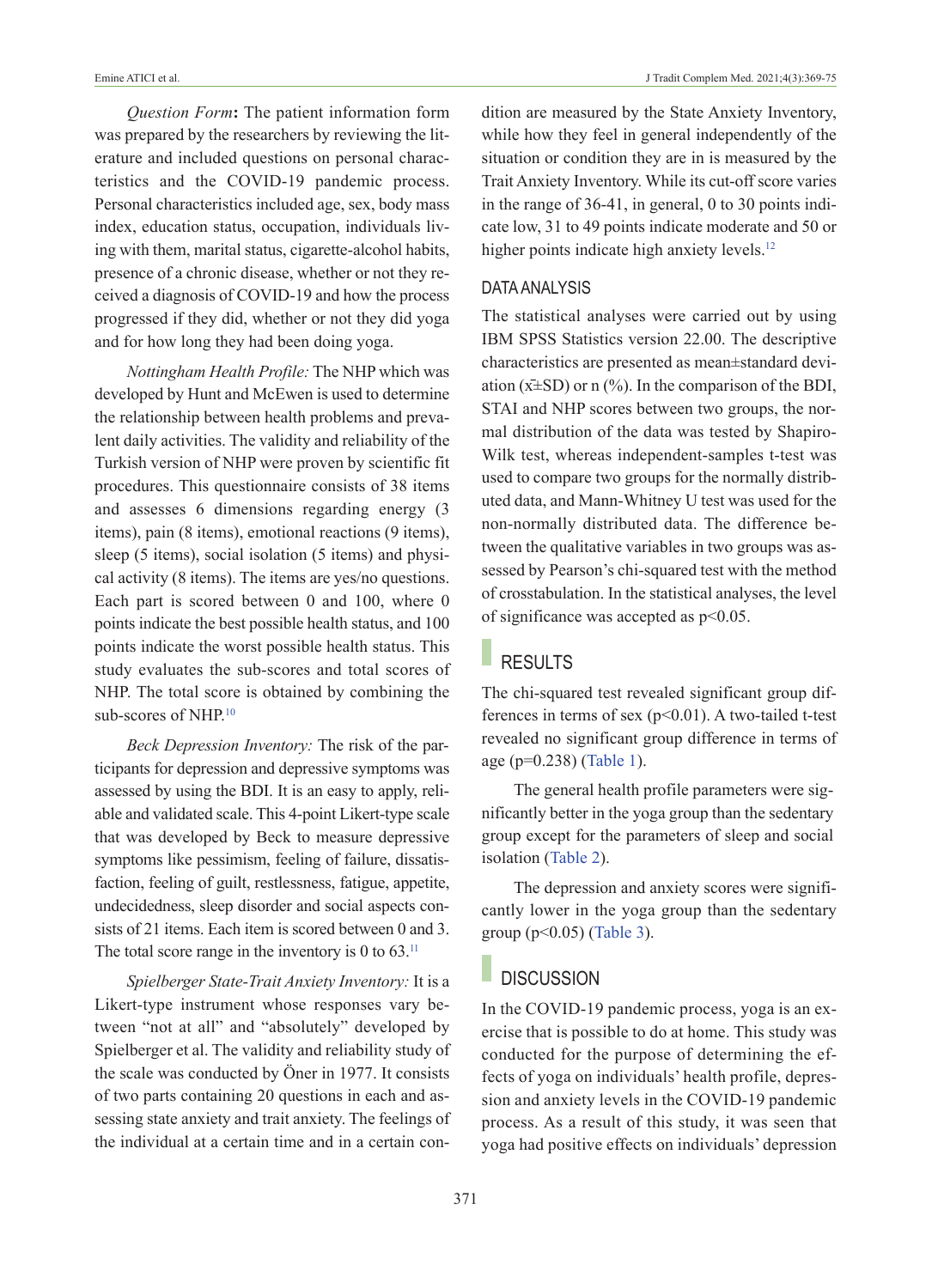*Question Form***:** The patient information form was prepared by the researchers by reviewing the literature and included questions on personal characteristics and the COVID-19 pandemic process. Personal characteristics included age, sex, body mass index, education status, occupation, individuals living with them, marital status, cigarette-alcohol habits, presence of a chronic disease, whether or not they received a diagnosis of COVID-19 and how the process progressed if they did, whether or not they did yoga and for how long they had been doing yoga.

*Nottingham Health Profile:* The NHP which was developed by Hunt and McEwen is used to determine the relationship between health problems and prevalent daily activities. The validity and reliability of the Turkish version of NHP were proven by scientific fit procedures. This questionnaire consists of 38 items and assesses 6 dimensions regarding energy (3 items), pain (8 items), emotional reactions (9 items), sleep (5 items), social isolation (5 items) and physical activity (8 items). The items are yes/no questions. Each part is scored between 0 and 100, where 0 points indicate the best possible health status, and 100 points indicate the worst possible health status. This study evaluates the sub-scores and total scores of NHP. The total score is obtained by combining the sub-scores of NHP.<sup>10</sup>

*Beck Depression Inventory:* The risk of the participants for depression and depressive symptoms was assessed by using the BDI. It is an easy to apply, reliable and validated scale. This 4-point Likert-type scale that was developed by Beck to measure depressive symptoms like pessimism, feeling of failure, dissatisfaction, feeling of guilt, restlessness, fatigue, appetite, undecidedness, sleep disorder and social aspects consists of 21 items. Each item is scored between 0 and 3. The total score range in the inventory is 0 to  $63$ .<sup>11</sup>

*Spielberger State-Trait Anxiety Inventory:* It is a Likert-type instrument whose responses vary between "not at all" and "absolutely" developed by Spielberger et al. The validity and reliability study of the scale was conducted by Öner in 1977. It consists of two parts containing 20 questions in each and assessing state anxiety and trait anxiety. The feelings of the individual at a certain time and in a certain condition are measured by the State Anxiety Inventory, while how they feel in general independently of the situation or condition they are in is measured by the Trait Anxiety Inventory. While its cut-off score varies in the range of 36-41, in general, 0 to 30 points indicate low, 31 to 49 points indicate moderate and 50 or higher points indicate high anxiety levels.<sup>12</sup>

#### DATA ANALYSIS

The statistical analyses were carried out by using IBM SPSS Statistics version 22.00. The descriptive characteristics are presented as mean±standard deviation ( $x\pm SD$ ) or n (%). In the comparison of the BDI, STAI and NHP scores between two groups, the normal distribution of the data was tested by Shapiro-Wilk test, whereas independent-samples t-test was used to compare two groups for the normally distributed data, and Mann-Whitney U test was used for the non-normally distributed data. The difference between the qualitative variables in two groups was assessed by Pearson's chi-squared test with the method of crosstabulation. In the statistical analyses, the level of significance was accepted as p<0.05.

## RESULTS

The chi-squared test revealed significant group differences in terms of sex  $(p<0.01)$ . A two-tailed t-test revealed no significant group difference in terms of age (p=0.238) [\(Table 1\)](#page-3-0).

The general health profile parameters were significantly better in the yoga group than the sedentary group except for the parameters of sleep and social isolation [\(Table 2\)](#page-3-1).

The depression and anxiety scores were significantly lower in the yoga group than the sedentary group ( $p<0.05$ ) [\(Table 3\)](#page-3-2).

### **DISCUSSION**

In the COVID-19 pandemic process, yoga is an exercise that is possible to do at home. This study was conducted for the purpose of determining the effects of yoga on individuals' health profile, depression and anxiety levels in the COVID-19 pandemic process. As a result of this study, it was seen that yoga had positive effects on individuals' depression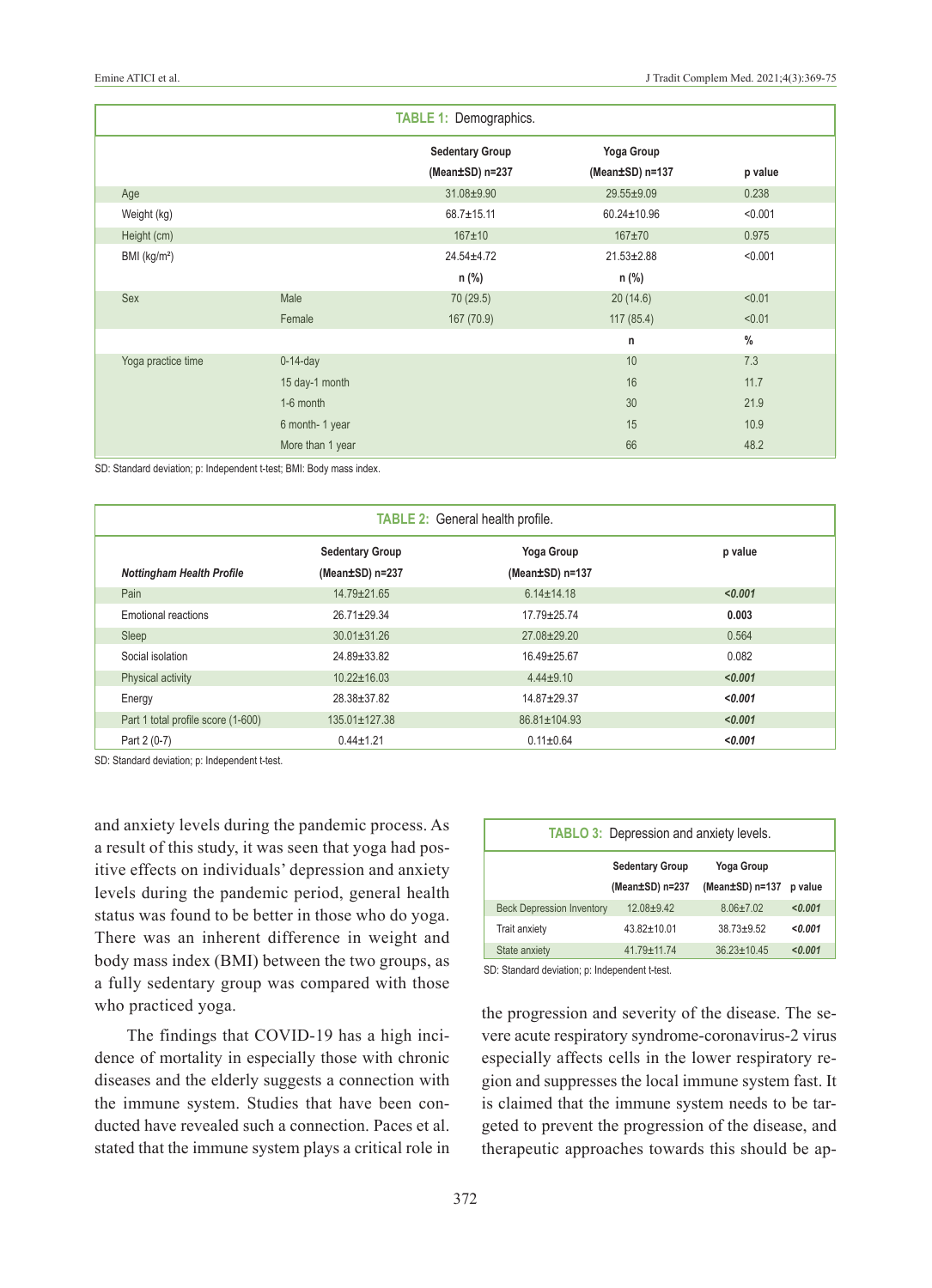| <b>TABLE 1: Demographics.</b> |                  |                        |                  |         |  |  |
|-------------------------------|------------------|------------------------|------------------|---------|--|--|
|                               |                  | <b>Sedentary Group</b> | Yoga Group       |         |  |  |
|                               |                  | (Mean±SD) n=237        | (Mean±SD) n=137  | p value |  |  |
| Age                           |                  | 31.08±9.90             | 29.55±9.09       | 0.238   |  |  |
| Weight (kg)                   |                  | $68.7 \pm 15.11$       | 60.24±10.96      | < 0.001 |  |  |
| Height (cm)                   |                  | $167 + 10$             | $167 + 70$       | 0.975   |  |  |
| BMI (kg/m <sup>2</sup> )      |                  | $24.54 \pm 4.72$       | $21.53 \pm 2.88$ | < 0.001 |  |  |
|                               |                  | $n$ (%)                | n (%)            |         |  |  |
| Sex                           | Male             | 70 (29.5)              | 20(14.6)         | < 0.01  |  |  |
|                               | Female           | 167 (70.9)             | 117(85.4)        | < 0.01  |  |  |
|                               |                  |                        | n                | $\%$    |  |  |
| Yoga practice time            | $0-14$ -day      |                        | 10               | 7.3     |  |  |
|                               | 15 day-1 month   |                        | 16               | 11.7    |  |  |
|                               | 1-6 month        |                        | 30               | 21.9    |  |  |
|                               | 6 month-1 year   |                        | 15               | 10.9    |  |  |
|                               | More than 1 year |                        | 66               | 48.2    |  |  |

SD: Standard deviation; p: Independent t-test; BMI: Body mass index.

| <b>TABLE 2: General health profile.</b> |                        |                       |         |  |  |  |
|-----------------------------------------|------------------------|-----------------------|---------|--|--|--|
|                                         | <b>Sedentary Group</b> | Yoga Group            | p value |  |  |  |
| <b>Nottingham Health Profile</b>        | (Mean±SD) n=237        | (Mean $\pm$ SD) n=137 |         |  |  |  |
| Pain                                    | 14.79±21.65            | $6.14 \pm 14.18$      | < 0.001 |  |  |  |
| Emotional reactions                     | $26.71 \pm 29.34$      | $17.79 + 25.74$       | 0.003   |  |  |  |
| Sleep                                   | $30.01 \pm 31.26$      | $27.08 + 29.20$       | 0.564   |  |  |  |
| Social isolation                        | 24.89±33.82            | $16.49 \pm 25.67$     | 0.082   |  |  |  |
| Physical activity                       | $10.22 \pm 16.03$      | $4.44 + 9.10$         | < 0.001 |  |  |  |
| Energy                                  | $28.38 \pm 37.82$      | $14.87 + 29.37$       | < 0.001 |  |  |  |
| Part 1 total profile score (1-600)      | $135.01 \pm 127.38$    | 86.81±104.93          | < 0.001 |  |  |  |
| Part 2 (0-7)                            | $0.44 \pm 1.21$        | $0.11 \pm 0.64$       | < 0.001 |  |  |  |

SD: Standard deviation; p: Independent t-test.

and anxiety levels during the pandemic process. As a result of this study, it was seen that yoga had positive effects on individuals' depression and anxiety levels during the pandemic period, general health status was found to be better in those who do yoga. There was an inherent difference in weight and body mass index (BMI) between the two groups, as a fully sedentary group was compared with those who practiced yoga.

The findings that COVID-19 has a high incidence of mortality in especially those with chronic diseases and the elderly suggests a connection with the immune system. Studies that have been conducted have revealed such a connection. Paces et al. stated that the immune system plays a critical role in

<span id="page-3-2"></span><span id="page-3-1"></span><span id="page-3-0"></span>

| <b>TABLO 3: Depression and anxiety levels.</b> |                        |                   |         |  |  |  |
|------------------------------------------------|------------------------|-------------------|---------|--|--|--|
|                                                | <b>Sedentary Group</b> | Yoga Group        |         |  |  |  |
|                                                | (Mean±SD) n=237        | (Mean±SD) n=137   | p value |  |  |  |
| <b>Beck Depression Inventory</b>               | $12.08 + 9.42$         | $8.06 \pm 7.02$   | < 0.001 |  |  |  |
| <b>Trait anxiety</b>                           | $43.82 \pm 10.01$      | $38.73 + 9.52$    | < 0.001 |  |  |  |
| State anxiety                                  | $41.79 + 11.74$        | $36.23 \pm 10.45$ | < 0.001 |  |  |  |

SD: Standard deviation; p: Independent t-test.

the progression and severity of the disease. The severe acute respiratory syndrome-coronavirus-2 virus especially affects cells in the lower respiratory region and suppresses the local immune system fast. It is claimed that the immune system needs to be targeted to prevent the progression of the disease, and therapeutic approaches towards this should be ap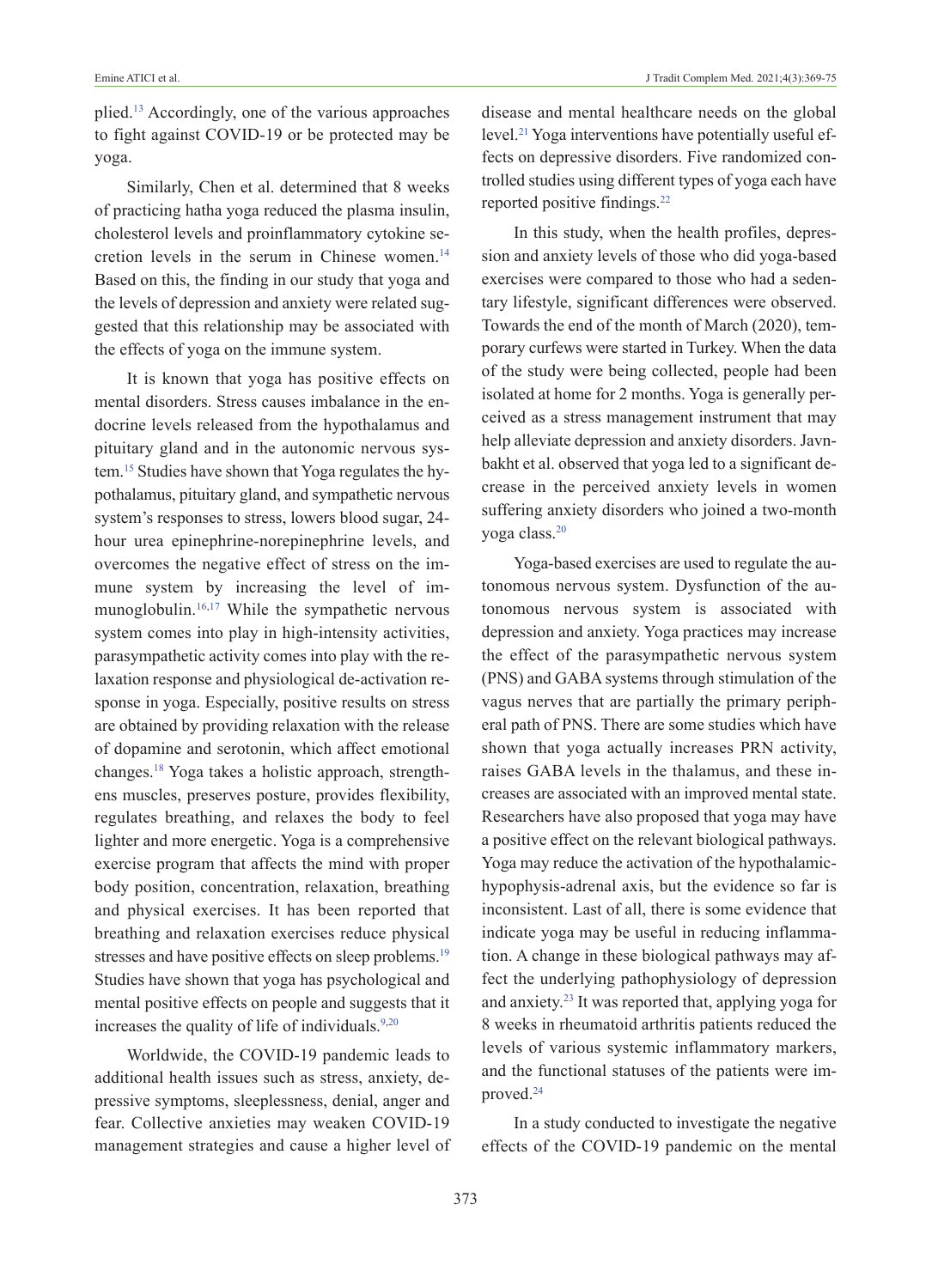plied[.13](#page-6-0) Accordingly, one of the various approaches to fight against COVID-19 or be protected may be yoga.

Similarly, Chen et al. determined that 8 weeks of practicing hatha yoga reduced the plasma insulin, cholesterol levels and proinflammatory cytokine secretion levels in the serum in Chinese women[.14](#page-6-0) Based on this, the finding in our study that yoga and the levels of depression and anxiety were related suggested that this relationship may be associated with the effects of yoga on the immune system.

It is known that yoga has positive effects on mental disorders. Stress causes imbalance in the endocrine levels released from the hypothalamus and pituitary gland and in the autonomic nervous system[.15](#page-6-0) Studies have shown that Yoga regulates the hypothalamus, pituitary gland, and sympathetic nervous system's responses to stress, lowers blood sugar, 24 hour urea epinephrine-norepinephrine levels, and overcomes the negative effect of stress on the immune system by increasing the level of immunoglobulin[.16,17](#page-6-0) While the sympathetic nervous system comes into play in high-intensity activities, parasympathetic activity comes into play with the relaxation response and physiological de-activation response in yoga. Especially, positive results on stress are obtained by providing relaxation with the release of dopamine and serotonin, which affect emotional changes[.18](#page-6-0) Yoga takes a holistic approach, strengthens muscles, preserves posture, provides flexibility, regulates breathing, and relaxes the body to feel lighter and more energetic. Yoga is a comprehensive exercise program that affects the mind with proper body position, concentration, relaxation, breathing and physical exercises. It has been reported that breathing and relaxation exercises reduce physical stresses and have positive effects on sleep problems.<sup>19</sup> Studies have shown that yoga has psychological and mental positive effects on people and suggests that it increases the quality of life of individuals.<sup>9,20</sup>

Worldwide, the COVID-19 pandemic leads to additional health issues such as stress, anxiety, depressive symptoms, sleeplessness, denial, anger and fear. Collective anxieties may weaken COVID-19 management strategies and cause a higher level of disease and mental healthcare needs on the global level[.21](#page-6-0) Yoga interventions have potentially useful effects on depressive disorders. Five randomized controlled studies using different types of yoga each have reported positive findings.<sup>22</sup>

In this study, when the health profiles, depression and anxiety levels of those who did yoga-based exercises were compared to those who had a sedentary lifestyle, significant differences were observed. Towards the end of the month of March (2020), temporary curfews were started in Turkey. When the data of the study were being collected, people had been isolated at home for 2 months. Yoga is generally perceived as a stress management instrument that may help alleviate depression and anxiety disorders. Javnbakht et al. observed that yoga led to a significant decrease in the perceived anxiety levels in women suffering anxiety disorders who joined a two-month yoga class[.20](#page-6-0)

Yoga-based exercises are used to regulate the autonomous nervous system. Dysfunction of the autonomous nervous system is associated with depression and anxiety. Yoga practices may increase the effect of the parasympathetic nervous system (PNS) and GABA systems through stimulation of the vagus nerves that are partially the primary peripheral path of PNS. There are some studies which have shown that yoga actually increases PRN activity, raises GABA levels in the thalamus, and these increases are associated with an improved mental state. Researchers have also proposed that yoga may have a positive effect on the relevant biological pathways. Yoga may reduce the activation of the hypothalamichypophysis-adrenal axis, but the evidence so far is inconsistent. Last of all, there is some evidence that indicate yoga may be useful in reducing inflammation. A change in these biological pathways may affect the underlying pathophysiology of depression and anxiety[.23](#page-6-0) It was reported that, applying yoga for 8 weeks in rheumatoid arthritis patients reduced the levels of various systemic inflammatory markers, and the functional statuses of the patients were improved[.24](#page-6-0)

In a study conducted to investigate the negative effects of the COVID-19 pandemic on the mental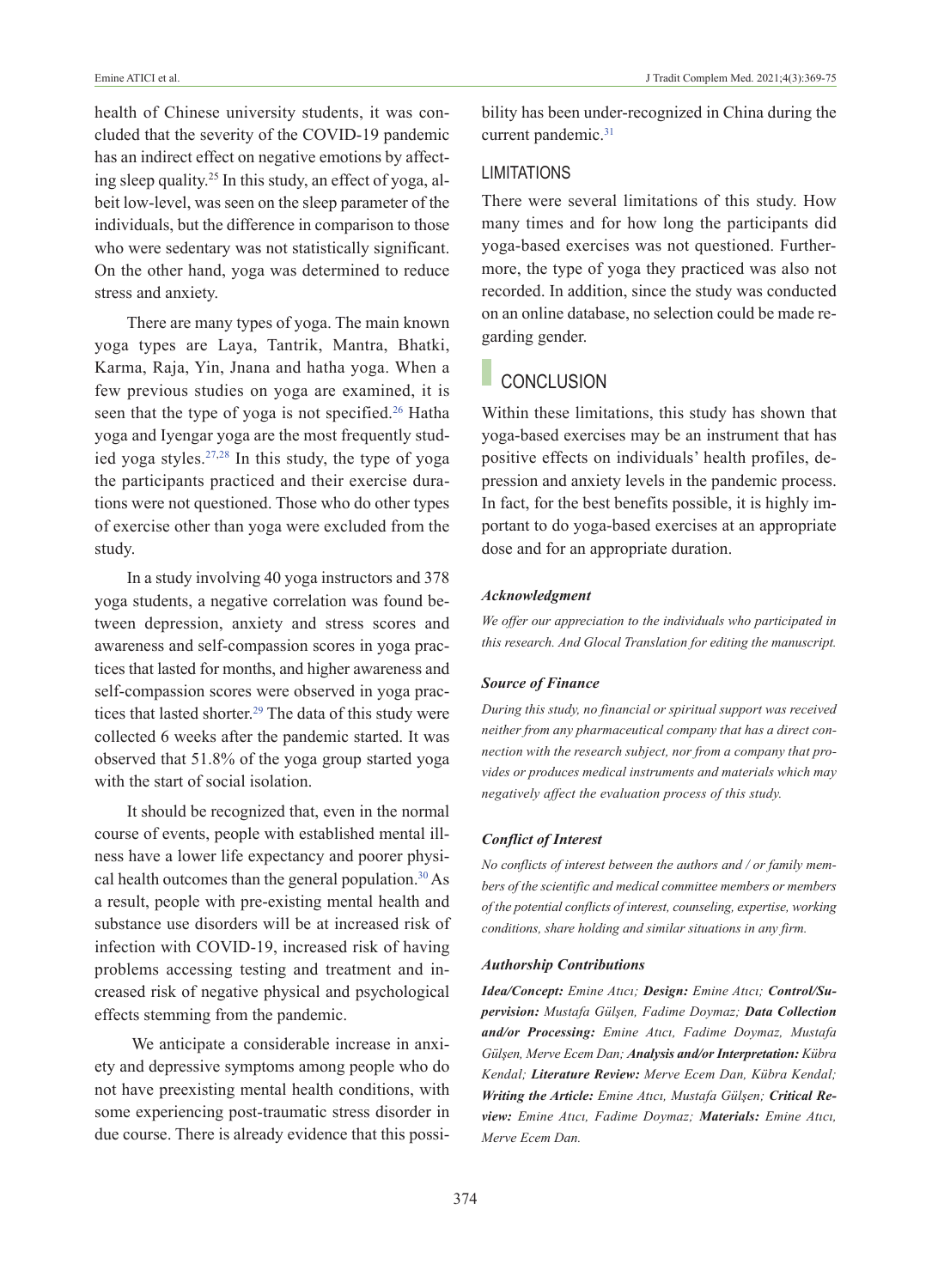health of Chinese university students, it was concluded that the severity of the COVID-19 pandemic has an indirect effect on negative emotions by affecting sleep quality[.25](#page-6-0) In this study, an effect of yoga, albeit low-level, was seen on the sleep parameter of the individuals, but the difference in comparison to those who were sedentary was not statistically significant. On the other hand, yoga was determined to reduce stress and anxiety.

There are many types of yoga. The main known yoga types are Laya, Tantrik, Mantra, Bhatki, Karma, Raja, Yin, Jnana and hatha yoga. When a few previous studies on yoga are examined, it is seen that the type of yoga is not specified.<sup>26</sup> Hatha yoga and Iyengar yoga are the most frequently studied yoga styles[.27,28](#page-6-0) In this study, the type of yoga the participants practiced and their exercise durations were not questioned. Those who do other types of exercise other than yoga were excluded from the study.

In a study involving 40 yoga instructors and 378 yoga students, a negative correlation was found between depression, anxiety and stress scores and awareness and self-compassion scores in yoga practices that lasted for months, and higher awareness and self-compassion scores were observed in yoga practices that lasted shorter.<sup>29</sup> The data of this study were collected 6 weeks after the pandemic started. It was observed that 51.8% of the yoga group started yoga with the start of social isolation.

It should be recognized that, even in the normal course of events, people with established mental illness have a lower life expectancy and poorer physical health outcomes than the general population[.30](#page-6-0) As a result, people with pre-existing mental health and substance use disorders will be at increased risk of infection with COVID-19, increased risk of having problems accessing testing and treatment and increased risk of negative physical and psychological effects stemming from the pandemic.

 We anticipate a considerable increase in anxiety and depressive symptoms among people who do not have preexisting mental health conditions, with some experiencing post-traumatic stress disorder in due course. There is already evidence that this possibility has been under-recognized in China during the current pandemic.<sup>31</sup>

#### LIMITATIONS

There were several limitations of this study. How many times and for how long the participants did yoga-based exercises was not questioned. Furthermore, the type of yoga they practiced was also not recorded. In addition, since the study was conducted on an online database, no selection could be made regarding gender.

## **CONCLUSION**

Within these limitations, this study has shown that yoga-based exercises may be an instrument that has positive effects on individuals' health profiles, depression and anxiety levels in the pandemic process. In fact, for the best benefits possible, it is highly important to do yoga-based exercises at an appropriate dose and for an appropriate duration.

#### *Acknowledgment*

*We offer our appreciation to the individuals who participated in this research. And Glocal Translation for editing the manuscript.*

#### *Source of Finance*

*During this study, no financial or spiritual support was received neither from any pharmaceutical company that has a direct connection with the research subject, nor from a company that provides or produces medical instruments and materials which may negatively affect the evaluation process of this study.* 

#### *Conflict of Interest*

*No conflicts of interest between the authors and / or family members of the scientific and medical committee members or members of the potential conflicts of interest, counseling, expertise, working conditions, share holding and similar situations in any firm.* 

#### *Authorship Contributions*

*Idea/Concept: Emine Atıcı; Design: Emine Atıcı; Control/Supervision: Mustafa Gülşen, Fadime Doymaz; Data Collection and/or Processing: Emine Atıcı, Fadime Doymaz, Mustafa Gülşen, Merve Ecem Dan; Analysis and/or Interpretation: Kübra Kendal; Literature Review: Merve Ecem Dan, Kübra Kendal; Writing the Article: Emine Atıcı, Mustafa Gülşen; Critical Review: Emine Atıcı, Fadime Doymaz; Materials: Emine Atıcı, Merve Ecem Dan.*